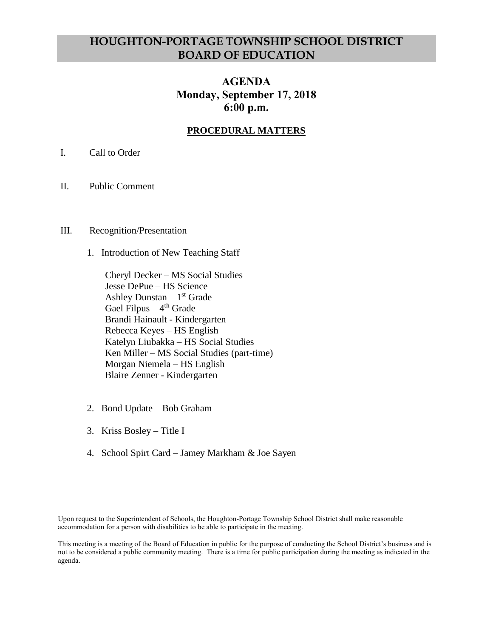# **HOUGHTON-PORTAGE TOWNSHIP SCHOOL DISTRICT BOARD OF EDUCATION**

## **AGENDA Monday, September 17, 2018 6:00 p.m.**

## **PROCEDURAL MATTERS**

- I. Call to Order
- II. Public Comment
- III. Recognition/Presentation
	- 1. Introduction of New Teaching Staff

Cheryl Decker – MS Social Studies Jesse DePue – HS Science Ashley Dunstan – 1 st Grade Gael Filpus – 4<sup>th</sup> Grade Brandi Hainault - Kindergarten Rebecca Keyes – HS English Katelyn Liubakka – HS Social Studies Ken Miller – MS Social Studies (part-time) Morgan Niemela – HS English Blaire Zenner - Kindergarten

- 2. Bond Update Bob Graham
- 3. Kriss Bosley Title I
- 4. School Spirt Card Jamey Markham & Joe Sayen

Upon request to the Superintendent of Schools, the Houghton-Portage Township School District shall make reasonable accommodation for a person with disabilities to be able to participate in the meeting.

This meeting is a meeting of the Board of Education in public for the purpose of conducting the School District's business and is not to be considered a public community meeting. There is a time for public participation during the meeting as indicated in the agenda.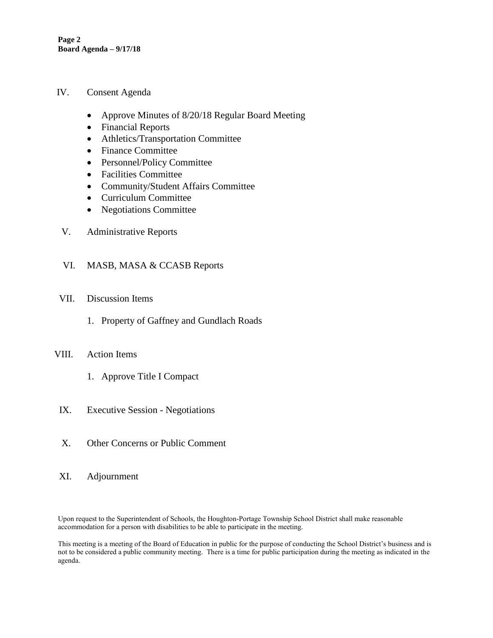**Page 2 Board Agenda – 9/17/18**

- IV. Consent Agenda
	- Approve Minutes of 8/20/18 Regular Board Meeting
	- Financial Reports
	- Athletics/Transportation Committee
	- Finance Committee
	- Personnel/Policy Committee
	- Facilities Committee
	- Community/Student Affairs Committee
	- Curriculum Committee
	- Negotiations Committee
- V. Administrative Reports
- VI. MASB, MASA & CCASB Reports
- VII. Discussion Items
	- 1. Property of Gaffney and Gundlach Roads
- VIII. Action Items
	- 1. Approve Title I Compact
- IX. Executive Session Negotiations
- X. Other Concerns or Public Comment
- XI. Adjournment

Upon request to the Superintendent of Schools, the Houghton-Portage Township School District shall make reasonable accommodation for a person with disabilities to be able to participate in the meeting.

This meeting is a meeting of the Board of Education in public for the purpose of conducting the School District's business and is not to be considered a public community meeting. There is a time for public participation during the meeting as indicated in the agenda.